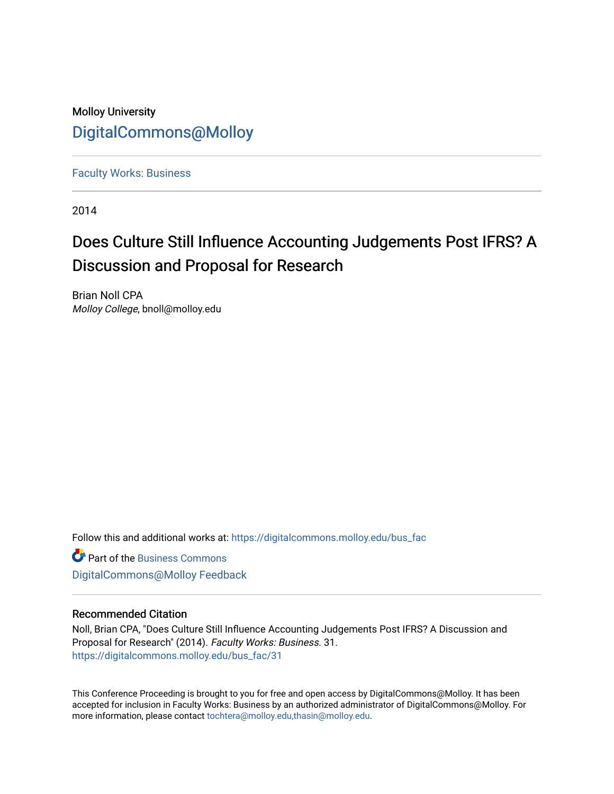### Molloy University [DigitalCommons@Molloy](https://digitalcommons.molloy.edu/)

[Faculty Works: Business](https://digitalcommons.molloy.edu/bus_fac) 

2014

# Does Culture Still Influence Accounting Judgements Post IFRS? A Discussion and Proposal for Research

Brian Noll CPA Molloy College, bnoll@molloy.edu

Follow this and additional works at: [https://digitalcommons.molloy.edu/bus\\_fac](https://digitalcommons.molloy.edu/bus_fac?utm_source=digitalcommons.molloy.edu%2Fbus_fac%2F31&utm_medium=PDF&utm_campaign=PDFCoverPages)

**C** Part of the [Business Commons](https://network.bepress.com/hgg/discipline/622?utm_source=digitalcommons.molloy.edu%2Fbus_fac%2F31&utm_medium=PDF&utm_campaign=PDFCoverPages) [DigitalCommons@Molloy Feedback](https://molloy.libwizard.com/f/dcfeedback)

#### Recommended Citation

Noll, Brian CPA, "Does Culture Still Influence Accounting Judgements Post IFRS? A Discussion and Proposal for Research" (2014). Faculty Works: Business. 31. [https://digitalcommons.molloy.edu/bus\\_fac/31](https://digitalcommons.molloy.edu/bus_fac/31?utm_source=digitalcommons.molloy.edu%2Fbus_fac%2F31&utm_medium=PDF&utm_campaign=PDFCoverPages) 

This Conference Proceeding is brought to you for free and open access by DigitalCommons@Molloy. It has been accepted for inclusion in Faculty Works: Business by an authorized administrator of DigitalCommons@Molloy. For more information, please contact [tochtera@molloy.edu,thasin@molloy.edu.](mailto:tochtera@molloy.edu,thasin@molloy.edu)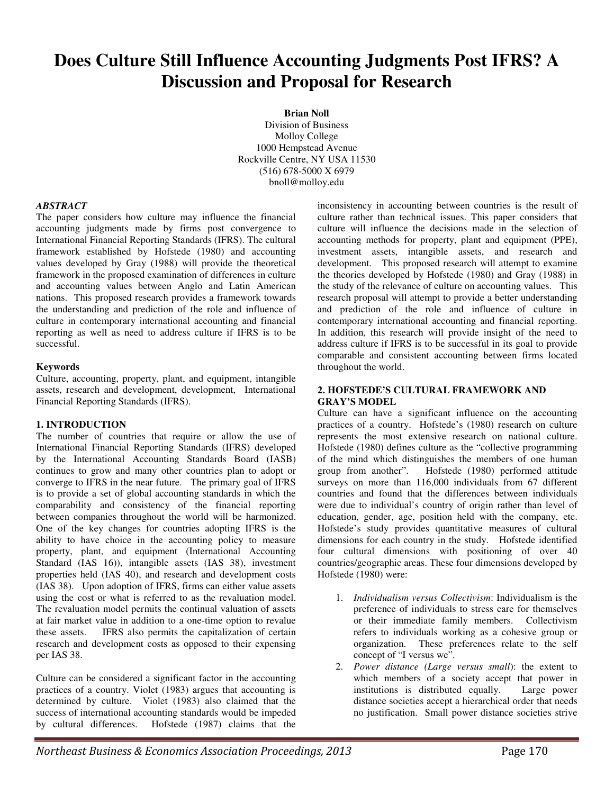## **Does Culture Still Influence Accounting Judgments Post IFRS? A Discussion and Proposal for Research**

**Brian Noll**  Division of Business Molloy College 1000 Hempstead Avenue Rockville Centre, NY USA 11530 (516) 678-5000 X 6979 bnoll@molloy.edu

#### *ABSTRACT*

The paper considers how culture may influence the financial accounting judgments made by firms post convergence to International Financial Reporting Standards (IFRS). The cultural framework established by Hofstede (1980) and accounting values developed by Gray (1988) will provide the theoretical framework in the proposed examination of differences in culture and accounting values between Anglo and Latin American nations. This proposed research provides a framework towards the understanding and prediction of the role and influence of culture in contemporary international accounting and financial reporting as well as need to address culture if IFRS is to be successful.

#### **Keywords**

Culture, accounting, property, plant, and equipment, intangible assets, research and development, development, International Financial Reporting Standards (IFRS).

#### **1. INTRODUCTION**

The number of countries that require or allow the use of International Financial Reporting Standards (IFRS) developed by the International Accounting Standards Board (IASB) continues to grow and many other countries plan to adopt or converge to IFRS in the near future. The primary goal of IFRS is to provide a set of global accounting standards in which the comparability and consistency of the financial reporting between companies throughout the world will be harmonized. One of the key changes for countries adopting IFRS is the ability to have choice in the accounting policy to measure property, plant, and equipment (International Accounting Standard (IAS 16)), intangible assets (IAS 38), investment properties held (IAS 40), and research and development costs (IAS 38). Upon adoption of IFRS, firms can either value assets using the cost or what is referred to as the revaluation model. The revaluation model permits the continual valuation of assets at fair market value in addition to a one-time option to revalue these assets. IFRS also permits the capitalization of certain research and development costs as opposed to their expensing per IAS 38.

Culture can be considered a significant factor in the accounting practices of a country. Violet (1983) argues that accounting is determined by culture. Violet (1983) also claimed that the success of international accounting standards would be impeded by cultural differences. Hofstede (1987) claims that the inconsistency in accounting between countries is the result of culture rather than technical issues. This paper considers that culture will influence the decisions made in the selection of accounting methods for property, plant and equipment (PPE), investment assets, intangible assets, and research and development. This proposed research will attempt to examine the theories developed by Hofstede (1980) and Gray (1988) in the study of the relevance of culture on accounting values. This research proposal will attempt to provide a better understanding and prediction of the role and influence of culture in contemporary international accounting and financial reporting. In addition, this research will provide insight of the need to address culture if IFRS is to be successful in its goal to provide comparable and consistent accounting between firms located throughout the world.

#### **2. HOFSTEDE'S CULTURAL FRAMEWORK AND GRAY'S MODEL**

Culture can have a significant influence on the accounting practices of a country. Hofstede's (1980) research on culture represents the most extensive research on national culture. Hofstede (1980) defines culture as the "collective programming of the mind which distinguishes the members of one human group from another". Hofstede (1980) performed attitude surveys on more than 116,000 individuals from 67 different countries and found that the differences between individuals were due to individual's country of origin rather than level of education, gender, age, position held with the company, etc. Hofstede's study provides quantitative measures of cultural dimensions for each country in the study. Hofstede identified four cultural dimensions with positioning of over 40 countries/geographic areas. These four dimensions developed by Hofstede (1980) were:

- 1. *Individualism versus Collectivism*: Individualism is the preference of individuals to stress care for themselves or their immediate family members. Collectivism refers to individuals working as a cohesive group or organization. These preferences relate to the self concept of "I versus we".
- 2. *Power distance (Large versus small*): the extent to which members of a society accept that power in institutions is distributed equally. Large power distance societies accept a hierarchical order that needs no justification. Small power distance societies strive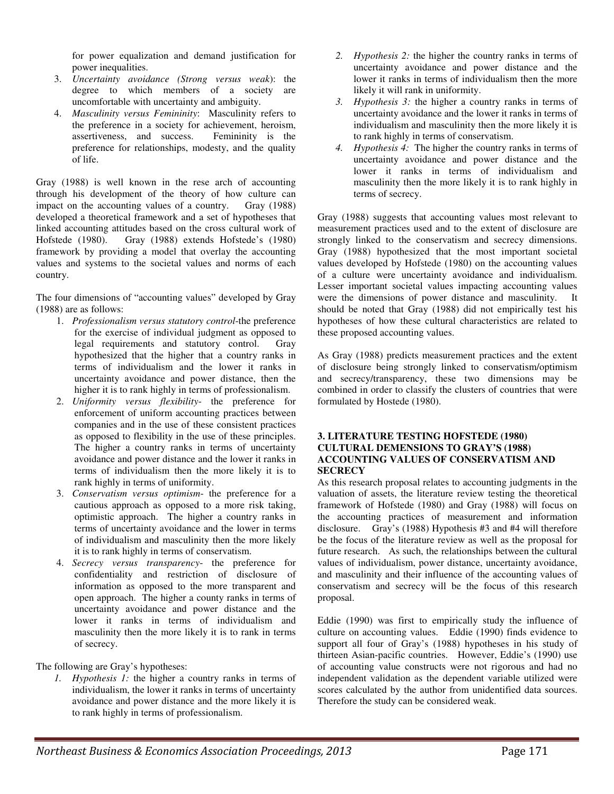for power equalization and demand justification for power inequalities.

- 3. *Uncertainty avoidance (Strong versus weak*): the degree to which members of a society are uncomfortable with uncertainty and ambiguity.
- 4. *Masculinity versus Femininity*: Masculinity refers to the preference in a society for achievement, heroism, assertiveness, and success. Femininity is the preference for relationships, modesty, and the quality of life.

Gray (1988) is well known in the rese arch of accounting through his development of the theory of how culture can impact on the accounting values of a country. Gray (1988) developed a theoretical framework and a set of hypotheses that linked accounting attitudes based on the cross cultural work of Hofstede (1980). Gray (1988) extends Hofstede's (1980) framework by providing a model that overlay the accounting values and systems to the societal values and norms of each country.

The four dimensions of "accounting values" developed by Gray (1988) are as follows:

- 1. *Professionalism versus statutory control*-the preference for the exercise of individual judgment as opposed to legal requirements and statutory control. Gray hypothesized that the higher that a country ranks in terms of individualism and the lower it ranks in uncertainty avoidance and power distance, then the higher it is to rank highly in terms of professionalism.
- 2. *Uniformity versus flexibility* the preference for enforcement of uniform accounting practices between companies and in the use of these consistent practices as opposed to flexibility in the use of these principles. The higher a country ranks in terms of uncertainty avoidance and power distance and the lower it ranks in terms of individualism then the more likely it is to rank highly in terms of uniformity.
- 3. *Conservatism versus optimism* the preference for a cautious approach as opposed to a more risk taking, optimistic approach. The higher a country ranks in terms of uncertainty avoidance and the lower in terms of individualism and masculinity then the more likely it is to rank highly in terms of conservatism.
- 4. *Secrecy versus transparency* the preference for confidentiality and restriction of disclosure of information as opposed to the more transparent and open approach. The higher a county ranks in terms of uncertainty avoidance and power distance and the lower it ranks in terms of individualism and masculinity then the more likely it is to rank in terms of secrecy.

The following are Gray's hypotheses:

*1. Hypothesis 1:* the higher a country ranks in terms of individualism, the lower it ranks in terms of uncertainty avoidance and power distance and the more likely it is to rank highly in terms of professionalism.

- *2. Hypothesis 2:* the higher the country ranks in terms of uncertainty avoidance and power distance and the lower it ranks in terms of individualism then the more likely it will rank in uniformity.
- *3. Hypothesis 3:* the higher a country ranks in terms of uncertainty avoidance and the lower it ranks in terms of individualism and masculinity then the more likely it is to rank highly in terms of conservatism.
- *4. Hypothesis 4:* The higher the country ranks in terms of uncertainty avoidance and power distance and the lower it ranks in terms of individualism and masculinity then the more likely it is to rank highly in terms of secrecy.

Gray (1988) suggests that accounting values most relevant to measurement practices used and to the extent of disclosure are strongly linked to the conservatism and secrecy dimensions. Gray (1988) hypothesized that the most important societal values developed by Hofstede (1980) on the accounting values of a culture were uncertainty avoidance and individualism. Lesser important societal values impacting accounting values were the dimensions of power distance and masculinity. It should be noted that Gray (1988) did not empirically test his hypotheses of how these cultural characteristics are related to these proposed accounting values.

As Gray (1988) predicts measurement practices and the extent of disclosure being strongly linked to conservatism/optimism and secrecy/transparency, these two dimensions may be combined in order to classify the clusters of countries that were formulated by Hostede (1980).

#### **3. LITERATURE TESTING HOFSTEDE (1980) CULTURAL DEMENSIONS TO GRAY'S (1988) ACCOUNTING VALUES OF CONSERVATISM AND SECRECY**

As this research proposal relates to accounting judgments in the valuation of assets, the literature review testing the theoretical framework of Hofstede (1980) and Gray (1988) will focus on the accounting practices of measurement and information disclosure. Gray's (1988) Hypothesis #3 and #4 will therefore be the focus of the literature review as well as the proposal for future research. As such, the relationships between the cultural values of individualism, power distance, uncertainty avoidance, and masculinity and their influence of the accounting values of conservatism and secrecy will be the focus of this research proposal.

Eddie (1990) was first to empirically study the influence of culture on accounting values. Eddie (1990) finds evidence to support all four of Gray's (1988) hypotheses in his study of thirteen Asian-pacific countries. However, Eddie's (1990) use of accounting value constructs were not rigorous and had no independent validation as the dependent variable utilized were scores calculated by the author from unidentified data sources. Therefore the study can be considered weak.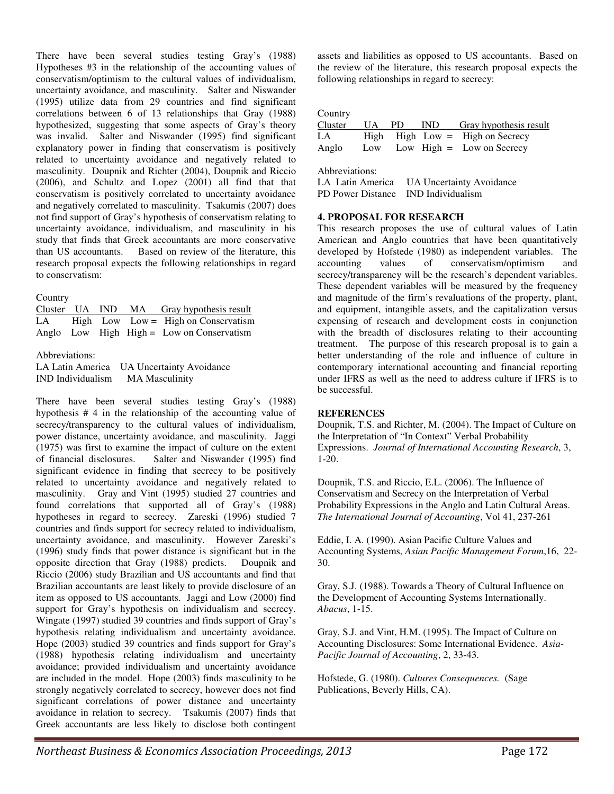There have been several studies testing Gray's (1988) Hypotheses #3 in the relationship of the accounting values of conservatism/optimism to the cultural values of individualism, uncertainty avoidance, and masculinity. Salter and Niswander (1995) utilize data from 29 countries and find significant correlations between 6 of 13 relationships that Gray (1988) hypothesized, suggesting that some aspects of Gray's theory was invalid. Salter and Niswander (1995) find significant explanatory power in finding that conservatism is positively related to uncertainty avoidance and negatively related to masculinity. Doupnik and Richter (2004), Doupnik and Riccio (2006), and Schultz and Lopez (2001) all find that that conservatism is positively correlated to uncertainty avoidance and negatively correlated to masculinity. Tsakumis (2007) does not find support of Gray's hypothesis of conservatism relating to uncertainty avoidance, individualism, and masculinity in his study that finds that Greek accountants are more conservative than US accountants. Based on review of the literature, this research proposal expects the following relationships in regard to conservatism:

**Country** 

|  |  | Cluster UA IND MA Gray hypothesis result    |
|--|--|---------------------------------------------|
|  |  | LA High Low Low = High on Conservatism      |
|  |  | Anglo Low High High $=$ Low on Conservatism |

Abbreviations:

LA Latin America UA Uncertainty Avoidance IND Individualism MA Masculinity

There have been several studies testing Gray's (1988) hypothesis # 4 in the relationship of the accounting value of secrecy/transparency to the cultural values of individualism, power distance, uncertainty avoidance, and masculinity. Jaggi (1975) was first to examine the impact of culture on the extent of financial disclosures. Salter and Niswander (1995) find significant evidence in finding that secrecy to be positively related to uncertainty avoidance and negatively related to masculinity. Gray and Vint (1995) studied 27 countries and found correlations that supported all of Gray's (1988) hypotheses in regard to secrecy. Zareski (1996) studied 7 countries and finds support for secrecy related to individualism, uncertainty avoidance, and masculinity. However Zareski's (1996) study finds that power distance is significant but in the opposite direction that Gray (1988) predicts. Doupnik and Riccio (2006) study Brazilian and US accountants and find that Brazilian accountants are least likely to provide disclosure of an item as opposed to US accountants. Jaggi and Low (2000) find support for Gray's hypothesis on individualism and secrecy. Wingate (1997) studied 39 countries and finds support of Gray's hypothesis relating individualism and uncertainty avoidance. Hope (2003) studied 39 countries and finds support for Gray's (1988) hypothesis relating individualism and uncertainty avoidance; provided individualism and uncertainty avoidance are included in the model. Hope (2003) finds masculinity to be strongly negatively correlated to secrecy, however does not find significant correlations of power distance and uncertainty avoidance in relation to secrecy. Tsakumis (2007) finds that Greek accountants are less likely to disclose both contingent assets and liabilities as opposed to US accountants. Based on the review of the literature, this research proposal expects the following relationships in regard to secrecy:

Country

| IND<br>UA.<br>- PD<br>Cluster<br>High $High Low = High on Secretary$<br>LA.<br>Low High $=$ Low on Secrecy<br>Anglo<br>Low | $       -$ |  |                        |
|----------------------------------------------------------------------------------------------------------------------------|------------|--|------------------------|
|                                                                                                                            |            |  | Gray hypothesis result |
|                                                                                                                            |            |  |                        |

Abbreviations:

LA Latin America UA Uncertainty Avoidance PD Power Distance IND Individualism

#### **4. PROPOSAL FOR RESEARCH**

This research proposes the use of cultural values of Latin American and Anglo countries that have been quantitatively developed by Hofstede (1980) as independent variables. The accounting values of conservatism/optimism and secrecy/transparency will be the research's dependent variables. These dependent variables will be measured by the frequency and magnitude of the firm's revaluations of the property, plant, and equipment, intangible assets, and the capitalization versus expensing of research and development costs in conjunction with the breadth of disclosures relating to their accounting treatment. The purpose of this research proposal is to gain a better understanding of the role and influence of culture in contemporary international accounting and financial reporting under IFRS as well as the need to address culture if IFRS is to be successful.

#### **REFERENCES**

Doupnik, T.S. and Richter, M. (2004). The Impact of Culture on the Interpretation of "In Context" Verbal Probability Expressions. *Journal of International Accounting Research*, 3, 1-20.

Doupnik, T.S. and Riccio, E.L. (2006). The Influence of Conservatism and Secrecy on the Interpretation of Verbal Probability Expressions in the Anglo and Latin Cultural Areas. *The International Journal of Accounting*, Vol 41, 237-261

Eddie, I. A. (1990). Asian Pacific Culture Values and Accounting Systems, *Asian Pacific Management Forum*,16, 22- 30.

Gray, S.J. (1988). Towards a Theory of Cultural Influence on the Development of Accounting Systems Internationally. *Abacus*, 1-15.

Gray, S.J. and Vint, H.M. (1995). The Impact of Culture on Accounting Disclosures: Some International Evidence. *Asia-Pacific Journal of Accounting*, 2, 33-43.

Hofstede, G. (1980). *Cultures Consequences.* (Sage Publications, Beverly Hills, CA).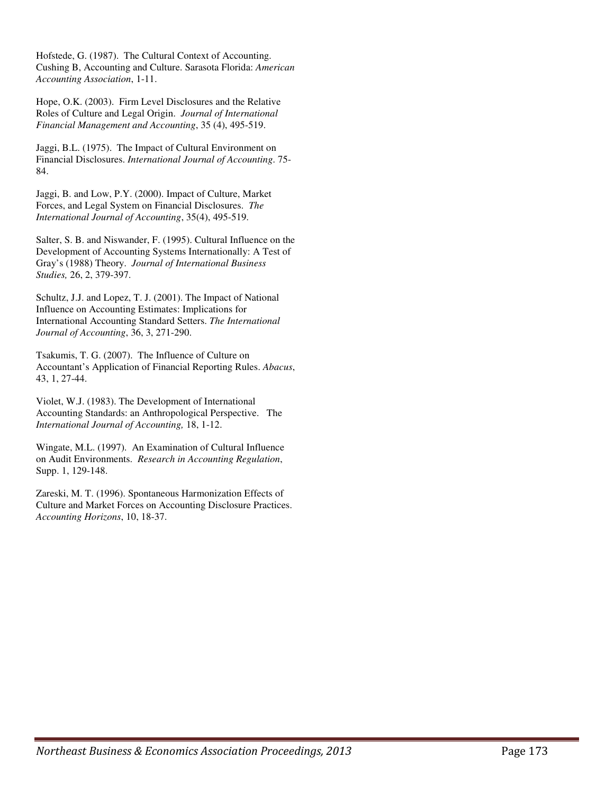Hofstede, G. (1987). The Cultural Context of Accounting. Cushing B, Accounting and Culture. Sarasota Florida: *American Accounting Association*, 1-11.

Hope, O.K. (2003). Firm Level Disclosures and the Relative Roles of Culture and Legal Origin. *Journal of International Financial Management and Accounting*, 35 (4), 495-519.

Jaggi, B.L. (1975). The Impact of Cultural Environment on Financial Disclosures. *International Journal of Accounting*. 75- 84.

Jaggi, B. and Low, P.Y. (2000). Impact of Culture, Market Forces, and Legal System on Financial Disclosures. *The International Journal of Accounting*, 35(4), 495-519.

Salter, S. B. and Niswander, F. (1995). Cultural Influence on the Development of Accounting Systems Internationally: A Test of Gray's (1988) Theory. *Journal of International Business Studies,* 26, 2, 379-397.

Schultz, J.J. and Lopez, T. J. (2001). The Impact of National Influence on Accounting Estimates: Implications for International Accounting Standard Setters. *The International Journal of Accounting*, 36, 3, 271-290.

Tsakumis, T. G. (2007). The Influence of Culture on Accountant's Application of Financial Reporting Rules. *Abacus*, 43, 1, 27-44.

Violet, W.J. (1983). The Development of International Accounting Standards: an Anthropological Perspective. The *International Journal of Accounting,* 18, 1-12.

Wingate, M.L. (1997). An Examination of Cultural Influence on Audit Environments. *Research in Accounting Regulation*, Supp. 1, 129-148.

Zareski, M. T. (1996). Spontaneous Harmonization Effects of Culture and Market Forces on Accounting Disclosure Practices. *Accounting Horizons*, 10, 18-37.